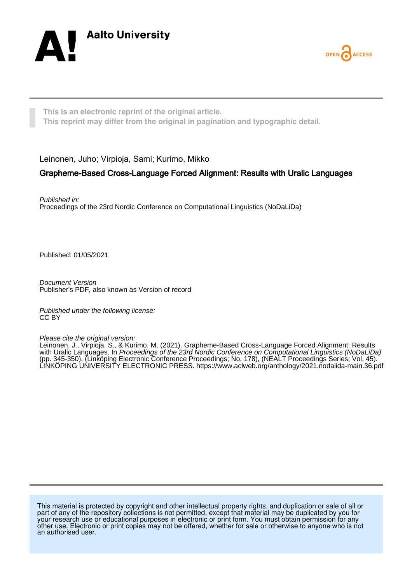



**This is an electronic reprint of the original article. This reprint may differ from the original in pagination and typographic detail.**

Leinonen, Juho; Virpioja, Sami; Kurimo, Mikko

# Grapheme-Based Cross-Language Forced Alignment: Results with Uralic Languages

Published in: Proceedings of the 23rd Nordic Conference on Computational Linguistics (NoDaLiDa)

Published: 01/05/2021

Document Version Publisher's PDF, also known as Version of record

Published under the following license: CC BY

Please cite the original version:

Leinonen, J., Virpioja, S., & Kurimo, M. (2021). Grapheme-Based Cross-Language Forced Alignment: Results with Uralic Languages. In Proceedings of the 23rd Nordic Conference on Computational Linguistics (NoDaLiDa) (pp. 345-350). (Linköping Electronic Conference Proceedings; No. 178), (NEALT Proceedings Series; Vol. 45). LINKÖPING UNIVERSITY ELECTRONIC PRESS. <https://www.aclweb.org/anthology/2021.nodalida-main.36.pdf>

This material is protected by copyright and other intellectual property rights, and duplication or sale of all or part of any of the repository collections is not permitted, except that material may be duplicated by you for your research use or educational purposes in electronic or print form. You must obtain permission for any other use. Electronic or print copies may not be offered, whether for sale or otherwise to anyone who is not an authorised user.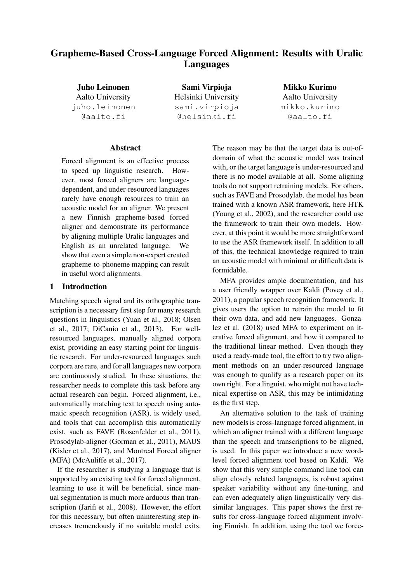# Grapheme-Based Cross-Language Forced Alignment: Results with Uralic Languages

Juho Leinonen Aalto University juho.leinonen @aalto.fi

Sami Virpioja Helsinki University sami.virpioja @helsinki.fi

Mikko Kurimo Aalto University mikko.kurimo @aalto.fi

### Abstract

Forced alignment is an effective process to speed up linguistic research. However, most forced aligners are languagedependent, and under-resourced languages rarely have enough resources to train an acoustic model for an aligner. We present a new Finnish grapheme-based forced aligner and demonstrate its performance by aligning multiple Uralic languages and English as an unrelated language. We show that even a simple non-expert created grapheme-to-phoneme mapping can result in useful word alignments.

#### 1 Introduction

Matching speech signal and its orthographic transcription is a necessary first step for many research questions in linguistics (Yuan et al., 2018; Olsen et al., 2017; DiCanio et al., 2013). For wellresourced languages, manually aligned corpora exist, providing an easy starting point for linguistic research. For under-resourced languages such corpora are rare, and for all languages new corpora are continuously studied. In these situations, the researcher needs to complete this task before any actual research can begin. Forced alignment, i.e., automatically matching text to speech using automatic speech recognition (ASR), is widely used, and tools that can accomplish this automatically exist, such as FAVE (Rosenfelder et al., 2011), Prosodylab-aligner (Gorman et al., 2011), MAUS (Kisler et al., 2017), and Montreal Forced aligner (MFA) (McAuliffe et al., 2017).

If the researcher is studying a language that is supported by an existing tool for forced alignment, learning to use it will be beneficial, since manual segmentation is much more arduous than transcription (Jarifi et al., 2008). However, the effort for this necessary, but often uninteresting step increases tremendously if no suitable model exits. The reason may be that the target data is out-ofdomain of what the acoustic model was trained with, or the target language is under-resourced and there is no model available at all. Some aligning tools do not support retraining models. For others, such as FAVE and Prosodylab, the model has been trained with a known ASR framework, here HTK (Young et al., 2002), and the researcher could use the framework to train their own models. However, at this point it would be more straightforward to use the ASR framework itself. In addition to all of this, the technical knowledge required to train an acoustic model with minimal or difficult data is formidable.

MFA provides ample documentation, and has a user friendly wrapper over Kaldi (Povey et al., 2011), a popular speech recognition framework. It gives users the option to retrain the model to fit their own data, and add new languages. Gonzalez et al. (2018) used MFA to experiment on iterative forced alignment, and how it compared to the traditional linear method. Even though they used a ready-made tool, the effort to try two alignment methods on an under-resourced language was enough to qualify as a research paper on its own right. For a linguist, who might not have technical expertise on ASR, this may be intimidating as the first step.

An alternative solution to the task of training new models is cross-language forced alignment, in which an aligner trained with a different language than the speech and transcriptions to be aligned, is used. In this paper we introduce a new wordlevel forced alignment tool based on Kaldi. We show that this very simple command line tool can align closely related languages, is robust against speaker variability without any fine-tuning, and can even adequately align linguistically very dissimilar languages. This paper shows the first results for cross-language forced alignment involving Finnish. In addition, using the tool we force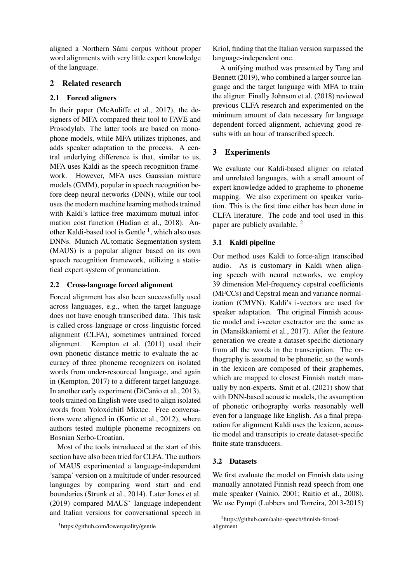aligned a Northern Sámi corpus without proper word alignments with very little expert knowledge of the language.

### 2 Related research

### 2.1 Forced aligners

In their paper (McAuliffe et al., 2017), the designers of MFA compared their tool to FAVE and Prosodylab. The latter tools are based on monophone models, while MFA utilizes triphones, and adds speaker adaptation to the process. A central underlying difference is that, similar to us, MFA uses Kaldi as the speech recognition framework. However, MFA uses Gaussian mixture models (GMM), popular in speech recognition before deep neural networks (DNN), while our tool uses the modern machine learning methods trained with Kaldi's lattice-free maximum mutual information cost function (Hadian et al., 2018). Another Kaldi-based tool is Gentle<sup>1</sup>, which also uses DNNs. Munich AUtomatic Segmentation system (MAUS) is a popular aligner based on its own speech recognition framework, utilizing a statistical expert system of pronunciation.

### 2.2 Cross-language forced alignment

Forced alignment has also been successfully used across languages, e.g., when the target language does not have enough transcribed data. This task is called cross-language or cross-linguistic forced alignment (CLFA), sometimes untrained forced alignment. Kempton et al. (2011) used their own phonetic distance metric to evaluate the accuracy of three phoneme recognizers on isolated words from under-resourced language, and again in (Kempton, 2017) to a different target language. In another early experiment (DiCanio et al., 2013), tools trained on English were used to align isolated words from Yoloxóchitl Mixtec. Free conversations were aligned in (Kurtic et al., 2012), where authors tested multiple phoneme recognizers on Bosnian Serbo-Croatian.

Most of the tools introduced at the start of this section have also been tried for CLFA. The authors of MAUS experimented a language-independent 'sampa' version on a multitude of under-resourced languages by comparing word start and end boundaries (Strunk et al., 2014). Later Jones et al. (2019) compared MAUS' language-independent and Italian versions for conversational speech in

Kriol, finding that the Italian version surpassed the language-independent one.

A unifying method was presented by Tang and Bennett (2019), who combined a larger source language and the target language with MFA to train the aligner. Finally Johnson et al. (2018) reviewed previous CLFA research and experimented on the minimum amount of data necessary for language dependent forced alignment, achieving good results with an hour of transcribed speech.

# 3 Experiments

We evaluate our Kaldi-based aligner on related and unrelated languages, with a small amount of expert knowledge added to grapheme-to-phoneme mapping. We also experiment on speaker variation. This is the first time either has been done in CLFA literature. The code and tool used in this paper are publicly available. <sup>2</sup>

### 3.1 Kaldi pipeline

Our method uses Kaldi to force-align transcibed audio. As is customary in Kaldi when aligning speech with neural networks, we employ 39 dimension Mel-frequency cepstral coefficients (MFCCs) and Cepstral mean and variance normalization (CMVN). Kaldi's i-vectors are used for speaker adaptation. The original Finnish acoustic model and i-vector exctractor are the same as in (Mansikkaniemi et al., 2017). After the feature generation we create a dataset-specific dictionary from all the words in the transcription. The orthography is assumed to be phonetic, so the words in the lexicon are composed of their graphemes, which are mapped to closest Finnish match manually by non-experts. Smit et al. (2021) show that with DNN-based acoustic models, the assumption of phonetic orthography works reasonably well even for a language like English. As a final preparation for alignment Kaldi uses the lexicon, acoustic model and transcripts to create dataset-specific finite state transducers.

### 3.2 Datasets

We first evaluate the model on Finnish data using manually annotated Finnish read speech from one male speaker (Vainio, 2001; Raitio et al., 2008). We use Pympi (Lubbers and Torreira, 2013-2015)

<sup>1</sup> https://github.com/lowerquality/gentle

<sup>2</sup> https://github.com/aalto-speech/finnish-forcedalignment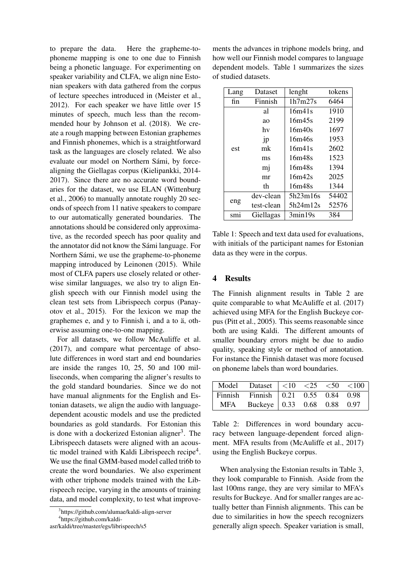to prepare the data. Here the grapheme-tophoneme mapping is one to one due to Finnish being a phonetic language. For experimenting on speaker variability and CLFA, we align nine Estonian speakers with data gathered from the corpus of lecture speeches introduced in (Meister et al., 2012). For each speaker we have little over 15 minutes of speech, much less than the recommended hour by Johnson et al. (2018). We create a rough mapping between Estonian graphemes and Finnish phonemes, which is a straightforward task as the languages are closely related. We also evaluate our model on Northern Sámi, by forcealigning the Giellagas corpus (Kielipankki, 2014- 2017). Since there are no accurate word boundaries for the dataset, we use ELAN (Wittenburg et al., 2006) to manually annotate roughly 20 seconds of speech from 11 native speakers to compare to our automatically generated boundaries. The annotations should be considered only approximative, as the recorded speech has poor quality and the annotator did not know the Sámi language. For Northern Sámi, we use the grapheme-to-phoneme mapping introduced by Leinonen (2015). While most of CLFA papers use closely related or otherwise similar languages, we also try to align English speech with our Finnish model using the clean test sets from Librispeech corpus (Panayotov et al., 2015). For the lexicon we map the graphemes e, and y to Finnish i, and a to ä, otherwise assuming one-to-one mapping.

For all datasets, we follow McAuliffe et al. (2017), and compare what percentage of absolute differences in word start and end boundaries are inside the ranges 10, 25, 50 and 100 milliseconds, when comparing the aligner's results to the gold standard boundaries. Since we do not have manual alignments for the English and Estonian datasets, we align the audio with languagedependent acoustic models and use the predicted boundaries as gold standards. For Estonian this is done with a dockerized Estonian aligner<sup>3</sup>. The Librispeech datasets were aligned with an acoustic model trained with Kaldi Librispeech recipe<sup>4</sup>. We use the final GMM-based model called tri6b to create the word boundaries. We also experiment with other triphone models trained with the Librispeech recipe, varying in the amounts of training data, and model complexity, to test what improve-

ments the advances in triphone models bring, and how well our Finnish model compares to language dependent models. Table 1 summarizes the sizes of studied datasets.

| Lang | Dataset    | lenght   | tokens |
|------|------------|----------|--------|
| fin  | Finnish    | 1h7m27s  | 6464   |
|      | al         | 16m41s   | 1910   |
|      | ao         | 16m45s   | 2199   |
|      | hv         | 16m40s   | 1697   |
|      | jp         | 16m46s   | 1953   |
| est  | mk         | 16m41s   | 2602   |
|      | ms         | 16m48s   | 1523   |
|      | mj         | 16m48s   | 1394   |
|      | mr         | 16m42s   | 2025   |
|      | th         | 16m48s   | 1344   |
| eng  | dev-clean  | 5h23m16s | 54402  |
|      | test-clean | 5h24m12s | 52576  |
| sm1  | Giellagas  | 3min19s  | 384    |

Table 1: Speech and text data used for evaluations, with initials of the participant names for Estonian data as they were in the corpus.

### 4 Results

The Finnish alignment results in Table 2 are quite comparable to what McAuliffe et al. (2017) achieved using MFA for the English Buckeye corpus (Pitt et al., 2005). This seems reasonable since both are using Kaldi. The different amounts of smaller boundary errors might be due to audio quality, speaking style or method of annotation. For instance the Finnish dataset was more focused on phoneme labels than word boundaries.

| Model Dataset $ $ <10 <25 <50 <100  |  |  |
|-------------------------------------|--|--|
| Finnish Finnish 0.21 0.55 0.84 0.98 |  |  |
| MFA Buckeye 0.33 0.68 0.88 0.97     |  |  |

Table 2: Differences in word boundary accuracy between language-dependent forced alignment. MFA results from (McAuliffe et al., 2017) using the English Buckeye corpus.

When analysing the Estonian results in Table 3, they look comparable to Finnish. Aside from the last 100ms range, they are very similar to MFA's results for Buckeye. And for smaller ranges are actually better than Finnish alignments. This can be due to similarities in how the speech recognizers generally align speech. Speaker variation is small,

<sup>3</sup> https://github.com/alumae/kaldi-align-server

<sup>4</sup> https://github.com/kaldi-

asr/kaldi/tree/master/egs/librispeech/s5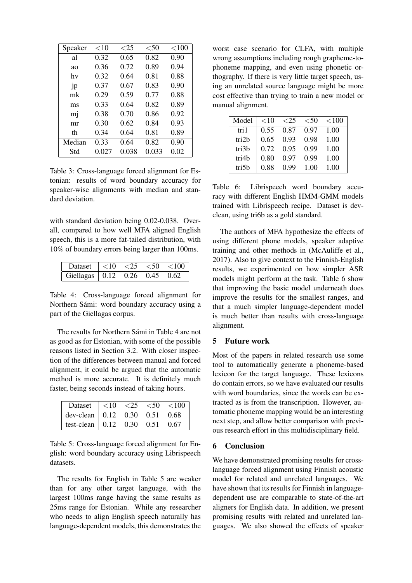| Speaker   | $<$ 10 | ${<}25$ | < 50  | ${<}100$ |
|-----------|--------|---------|-------|----------|
| al        | 0.32   | 0.65    | 0.82  | 0.90     |
| <b>ao</b> | 0.36   | 0.72    | 0.89  | 0.94     |
| hv        | 0.32   | 0.64    | 0.81  | 0.88     |
| .jp       | 0.37   | 0.67    | 0.83  | 0.90     |
| mk        | 0.29   | 0.59    | 0.77  | 0.88     |
| ms        | 0.33   | 0.64    | 0.82  | 0.89     |
| mj        | 0.38   | 0.70    | 0.86  | 0.92     |
| mr        | 0.30   | 0.62    | 0.84  | 0.93     |
| th        | 0.34   | 0.64    | 0.81  | 0.89     |
| Median    | 0.33   | 0.64    | 0.82  | 0.90     |
| Std       | 0.027  | 0.038   | 0.033 | 0.02     |

Table 3: Cross-language forced alignment for Estonian: results of word boundary accuracy for speaker-wise alignments with median and standard deviation.

with standard deviation being 0.02-0.038. Overall, compared to how well MFA aligned English speech, this is a more fat-tailed distribution, with 10% of boundary errors being larger than 100ms.

| Dataset                         | < 10 | $\langle$ ') | $\leq 50$ | ${<}100$ |
|---------------------------------|------|--------------|-----------|----------|
| Giellagas   0.12 0.26 0.45 0.62 |      |              |           |          |

Table 4: Cross-language forced alignment for Northern Sámi: word boundary accuracy using a part of the Giellagas corpus.

The results for Northern Sámi in Table 4 are not as good as for Estonian, with some of the possible reasons listed in Section 3.2. With closer inspection of the differences between manual and forced alignment, it could be argued that the automatic method is more accurate. It is definitely much faster, being seconds instead of taking hours.

| Dataset $ $ <10 <25 <50 <100                                            |  |  |
|-------------------------------------------------------------------------|--|--|
| dev-clean $\boxed{0.12 \quad 0.30 \quad 0.51 \quad 0.68}$               |  |  |
| test-clean $\begin{array}{ ccc } 0.12 & 0.30 & 0.51 & 0.67 \end{array}$ |  |  |

Table 5: Cross-language forced alignment for English: word boundary accuracy using Librispeech datasets.

The results for English in Table 5 are weaker than for any other target language, with the largest 100ms range having the same results as 25ms range for Estonian. While any researcher who needs to align English speech naturally has language-dependent models, this demonstrates the

worst case scenario for CLFA, with multiple wrong assumptions including rough grapheme-tophoneme mapping, and even using phonetic orthography. If there is very little target speech, using an unrelated source language might be more cost effective than trying to train a new model or manual alignment.

| Model | ${<}10$ | $\leq$ 25 | < 50 | ${<}100$ |
|-------|---------|-----------|------|----------|
| tri 1 | 0.55    | 0.87      | 0.97 | 1.00     |
| tri2b | 0.65    | 0.93      | 0.98 | 1.00     |
| tri3b | 0.72    | 0.95      | 0.99 | 1.00     |
| tri4b | 0.80    | 0.97      | 0.99 | 1.00     |
| tri5b | 0.88    | 0.99      | 1.00 | 1.00     |

Table 6: Librispeech word boundary accuracy with different English HMM-GMM models trained with Librispeech recipe. Dataset is devclean, using tri6b as a gold standard.

The authors of MFA hypothesize the effects of using different phone models, speaker adaptive training and other methods in (McAuliffe et al., 2017). Also to give context to the Finnish-English results, we experimented on how simpler ASR models might perform at the task. Table 6 show that improving the basic model underneath does improve the results for the smallest ranges, and that a much simpler language-dependent model is much better than results with cross-language alignment.

### 5 Future work

Most of the papers in related research use some tool to automatically generate a phoneme-based lexicon for the target language. These lexicons do contain errors, so we have evaluated our results with word boundaries, since the words can be extracted as is from the transcription. However, automatic phoneme mapping would be an interesting next step, and allow better comparison with previous research effort in this multidisciplinary field.

### 6 Conclusion

We have demonstrated promising results for crosslanguage forced alignment using Finnish acoustic model for related and unrelated languages. We have shown that its results for Finnish in languagedependent use are comparable to state-of-the-art aligners for English data. In addition, we present promising results with related and unrelated languages. We also showed the effects of speaker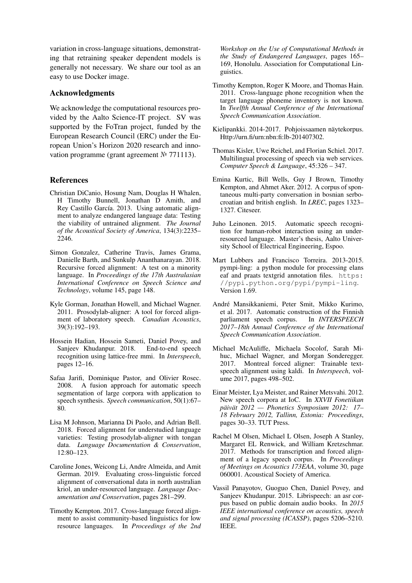variation in cross-language situations, demonstrating that retraining speaker dependent models is generally not necessary. We share our tool as an easy to use Docker image.

#### Acknowledgments

We acknowledge the computational resources provided by the Aalto Science-IT project. SV was supported by the FoTran project, funded by the European Research Council (ERC) under the European Union's Horizon 2020 research and innovation programme (grant agreement № 771113).

#### References

- Christian DiCanio, Hosung Nam, Douglas H Whalen, H Timothy Bunnell, Jonathan D Amith, and Rey Castillo García. 2013. Using automatic alignment to analyze endangered language data: Testing the viability of untrained alignment. *The Journal of the Acoustical Society of America*, 134(3):2235– 2246.
- Simon Gonzalez, Catherine Travis, James Grama, Danielle Barth, and Sunkulp Ananthanarayan. 2018. Recursive forced alignment: A test on a minority language. In *Proceedings of the 17th Australasian International Conference on Speech Science and Technology*, volume 145, page 148.
- Kyle Gorman, Jonathan Howell, and Michael Wagner. 2011. Prosodylab-aligner: A tool for forced alignment of laboratory speech. *Canadian Acoustics*, 39(3):192–193.
- Hossein Hadian, Hossein Sameti, Daniel Povey, and Sanjeev Khudanpur. 2018. End-to-end speech recognition using lattice-free mmi. In *Interspeech*, pages 12–16.
- Safaa Jarifi, Dominique Pastor, and Olivier Rosec. 2008. A fusion approach for automatic speech segmentation of large corpora with application to speech synthesis. *Speech communication*, 50(1):67– 80.
- Lisa M Johnson, Marianna Di Paolo, and Adrian Bell. 2018. Forced alignment for understudied language varieties: Testing prosodylab-aligner with tongan data. *Language Documentation & Conservation*, 12:80–123.
- Caroline Jones, Weicong Li, Andre Almeida, and Amit German. 2019. Evaluating cross-linguistic forced alignment of conversational data in north australian kriol, an under-resourced language. *Language Documentation and Conservation*, pages 281–299.
- Timothy Kempton. 2017. Cross-language forced alignment to assist community-based linguistics for low resource languages. In *Proceedings of the 2nd*

*Workshop on the Use of Computational Methods in the Study of Endangered Languages*, pages 165– 169, Honolulu. Association for Computational Linguistics.

- Timothy Kempton, Roger K Moore, and Thomas Hain. 2011. Cross-language phone recognition when the target language phoneme inventory is not known. In *Twelfth Annual Conference of the International Speech Communication Association*.
- Kielipankki. 2014-2017. Pohjoissaamen näytekorpus. Http://urn.fi/urn:nbn:fi:lb-201407302.
- Thomas Kisler, Uwe Reichel, and Florian Schiel. 2017. Multilingual processing of speech via web services. *Computer Speech & Language*, 45:326 – 347.
- Emina Kurtic, Bill Wells, Guy J Brown, Timothy Kempton, and Ahmet Aker. 2012. A corpus of spontaneous multi-party conversation in bosnian serbocroatian and british english. In *LREC*, pages 1323– 1327. Citeseer.
- Juho Leinonen. 2015. Automatic speech recognition for human-robot interaction using an underresourced language. Master's thesis, Aalto University School of Electrical Engineering, Espoo.
- Mart Lubbers and Francisco Torreira. 2013-2015. pympi-ling: a python module for processing elans eaf and praats textgrid annotation files. https: //pypi.python.org/pypi/pympi-ling. Version 1.69.
- Andre Mansikkaniemi, Peter Smit, Mikko Kurimo, ´ et al. 2017. Automatic construction of the Finnish parliament speech corpus. In *INTERSPEECH 2017–18th Annual Conference of the International Speech Communication Association*.
- Michael McAuliffe, Michaela Socolof, Sarah Mihuc, Michael Wagner, and Morgan Sonderegger. 2017. Montreal forced aligner: Trainable textspeech alignment using kaldi. In *Interspeech*, volume 2017, pages 498–502.
- Einar Meister, Lya Meister, and Rainer Metsvahi. 2012. New speech corpora at IoC. In *XXVII Fonetiikan paiv ¨ at 2012 — Phonetics Symposium 2012: 17– ¨ 18 February 2012, Tallinn, Estonia: Proceedings*, pages 30–33. TUT Press.
- Rachel M Olsen, Michael L Olsen, Joseph A Stanley, Margaret EL Renwick, and William Kretzschmar. 2017. Methods for transcription and forced alignment of a legacy speech corpus. In *Proceedings of Meetings on Acoustics 173EAA*, volume 30, page 060001. Acoustical Society of America.
- Vassil Panayotov, Guoguo Chen, Daniel Povey, and Sanjeev Khudanpur. 2015. Librispeech: an asr corpus based on public domain audio books. In *2015 IEEE international conference on acoustics, speech and signal processing (ICASSP)*, pages 5206–5210. IEEE.